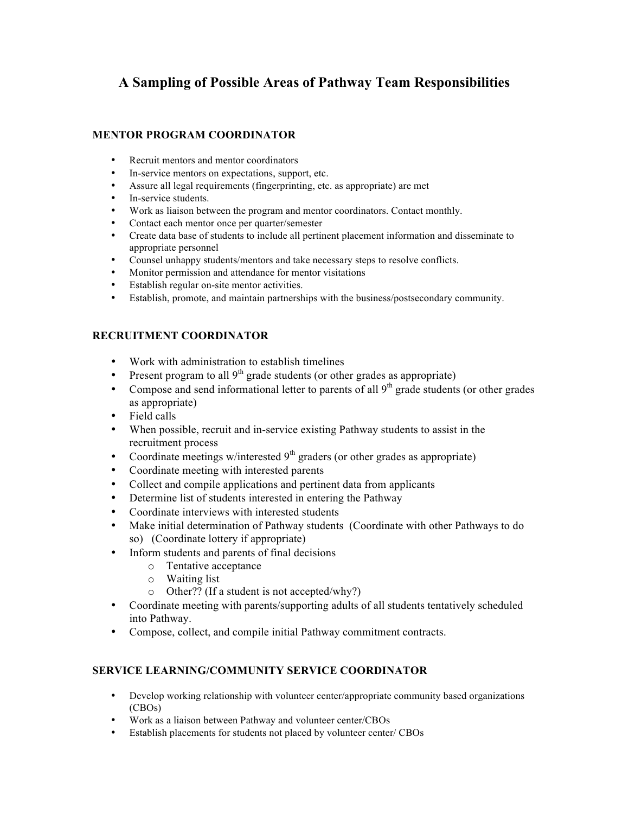# **A Sampling of Possible Areas of Pathway Team Responsibilities**

## **MENTOR PROGRAM COORDINATOR**

- Recruit mentors and mentor coordinators
- In-service mentors on expectations, support, etc.
- Assure all legal requirements (fingerprinting, etc. as appropriate) are met
- In-service students.
- Work as liaison between the program and mentor coordinators. Contact monthly.
- Contact each mentor once per quarter/semester
- Create data base of students to include all pertinent placement information and disseminate to appropriate personnel
- Counsel unhappy students/mentors and take necessary steps to resolve conflicts.
- Monitor permission and attendance for mentor visitations
- Establish regular on-site mentor activities.<br>• Establish, promote, and maintain partnersh
- Establish, promote, and maintain partnerships with the business/postsecondary community.

### **RECRUITMENT COORDINATOR**

- Work with administration to establish timelines
- Present program to all  $9<sup>th</sup>$  grade students (or other grades as appropriate)
- Compose and send informational letter to parents of all  $9<sup>th</sup>$  grade students (or other grades as appropriate)
- Field calls
- When possible, recruit and in-service existing Pathway students to assist in the recruitment process
- Coordinate meetings w/interested  $9<sup>th</sup>$  graders (or other grades as appropriate)
- Coordinate meeting with interested parents
- Collect and compile applications and pertinent data from applicants
- Determine list of students interested in entering the Pathway
- Coordinate interviews with interested students
- Make initial determination of Pathway students (Coordinate with other Pathways to do so) (Coordinate lottery if appropriate)
- Inform students and parents of final decisions
	- o Tentative acceptance
	- o Waiting list
	- o Other?? (If a student is not accepted/why?)
- Coordinate meeting with parents/supporting adults of all students tentatively scheduled into Pathway.
- Compose, collect, and compile initial Pathway commitment contracts.

#### **SERVICE LEARNING/COMMUNITY SERVICE COORDINATOR**

- Develop working relationship with volunteer center/appropriate community based organizations (CBOs)
- Work as a liaison between Pathway and volunteer center/CBOs
- Establish placements for students not placed by volunteer center/ CBOs